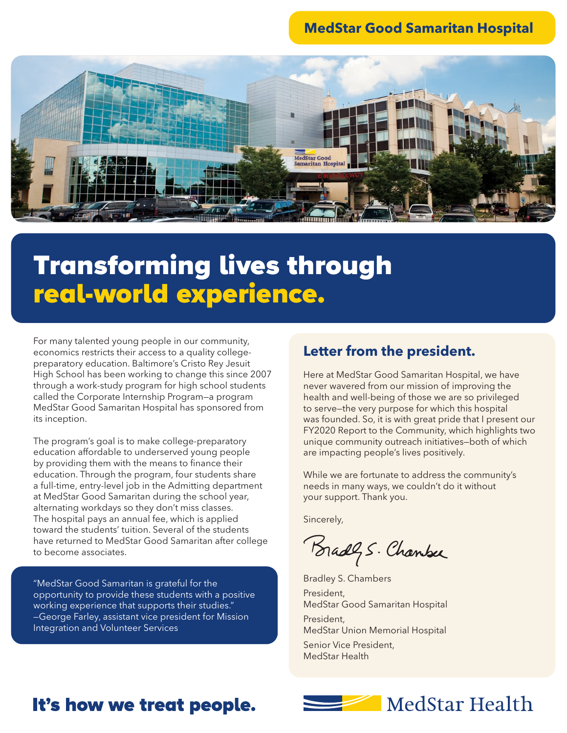#### **MedStar Good Samaritan Hospital**



# Transforming lives through real-world experience.

For many talented young people in our community, economics restricts their access to a quality collegepreparatory education. Baltimore's Cristo Rey Jesuit High School has been working to change this since 2007 through a work-study program for high school students called the Corporate Internship Program—a program MedStar Good Samaritan Hospital has sponsored from its inception.

The program's goal is to make college-preparatory education affordable to underserved young people by providing them with the means to finance their education. Through the program, four students share a full-time, entry-level job in the Admitting department at MedStar Good Samaritan during the school year, alternating workdays so they don't miss classes. The hospital pays an annual fee, which is applied toward the students' tuition. Several of the students have returned to MedStar Good Samaritan after college to become associates.

"MedStar Good Samaritan is grateful for the opportunity to provide these students with a positive working experience that supports their studies." —George Farley, assistant vice president for Mission Integration and Volunteer Services

#### **Letter from the president.**

Here at MedStar Good Samaritan Hospital, we have never wavered from our mission of improving the health and well-being of those we are so privileged to serve—the very purpose for which this hospital was founded. So, it is with great pride that I present our FY2020 Report to the Community, which highlights two unique community outreach initiatives—both of which are impacting people's lives positively.

While we are fortunate to address the community's needs in many ways, we couldn't do it without your support. Thank you.

Sincerely,

Bradly S. Chanker

Bradley S. Chambers President, MedStar Good Samaritan Hospital

President, MedStar Union Memorial Hospital

Senior Vice President, MedStar Health

## It's how we treat people.